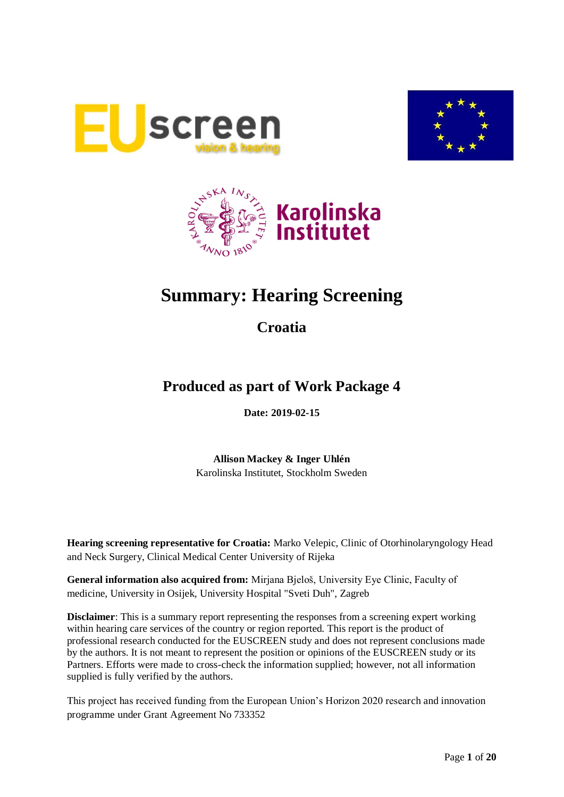





# **Summary: Hearing Screening**

# **Croatia**

# **Produced as part of Work Package 4**

**Date: 2019-02-15**

**Allison Mackey & Inger Uhlén** Karolinska Institutet, Stockholm Sweden

**Hearing screening representative for Croatia:** Marko Velepic, Clinic of Otorhinolaryngology Head and Neck Surgery, Clinical Medical Center University of Rijeka

**General information also acquired from:** Mirjana Bjeloš, University Eye Clinic, Faculty of medicine, University in Osijek, University Hospital "Sveti Duh", Zagreb

**Disclaimer**: This is a summary report representing the responses from a screening expert working within hearing care services of the country or region reported. This report is the product of professional research conducted for the EUSCREEN study and does not represent conclusions made by the authors. It is not meant to represent the position or opinions of the EUSCREEN study or its Partners. Efforts were made to cross-check the information supplied; however, not all information supplied is fully verified by the authors.

This project has received funding from the European Union's Horizon 2020 research and innovation programme under Grant Agreement No 733352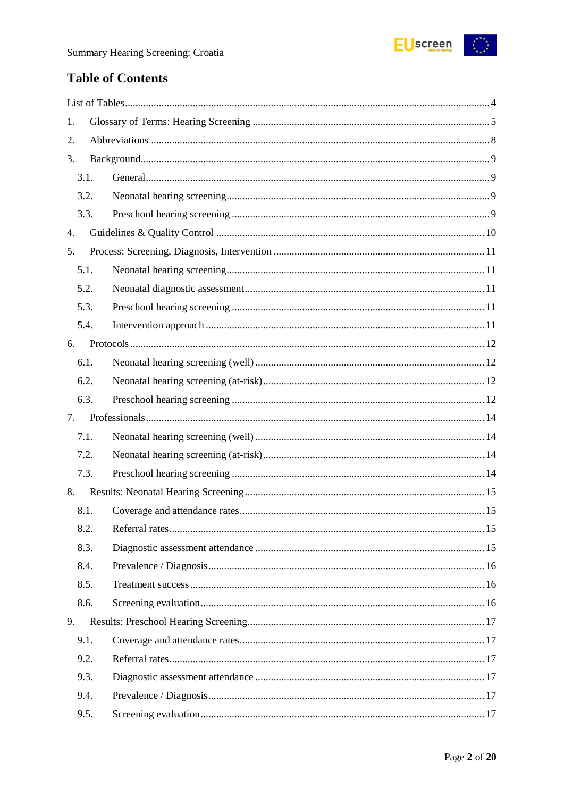

# **Table of Contents**

| 1. |      |  |
|----|------|--|
| 2. |      |  |
| 3. |      |  |
|    | 3.1. |  |
|    | 3.2. |  |
|    | 3.3. |  |
| 4. |      |  |
| 5. |      |  |
|    | 5.1. |  |
|    | 5.2. |  |
|    | 5.3. |  |
|    | 5.4. |  |
| 6. |      |  |
|    | 6.1. |  |
|    | 6.2. |  |
|    | 6.3. |  |
| 7. |      |  |
|    |      |  |
|    | 7.1. |  |
|    | 7.2. |  |
|    | 7.3. |  |
| 8. |      |  |
|    | 8.1. |  |
|    | 8.2. |  |
|    | 8.3. |  |
|    | 8.4. |  |
|    | 8.5. |  |
|    | 8.6. |  |
| 9. |      |  |
|    | 9.1. |  |
|    | 9.2. |  |
|    | 9.3. |  |
|    | 9.4. |  |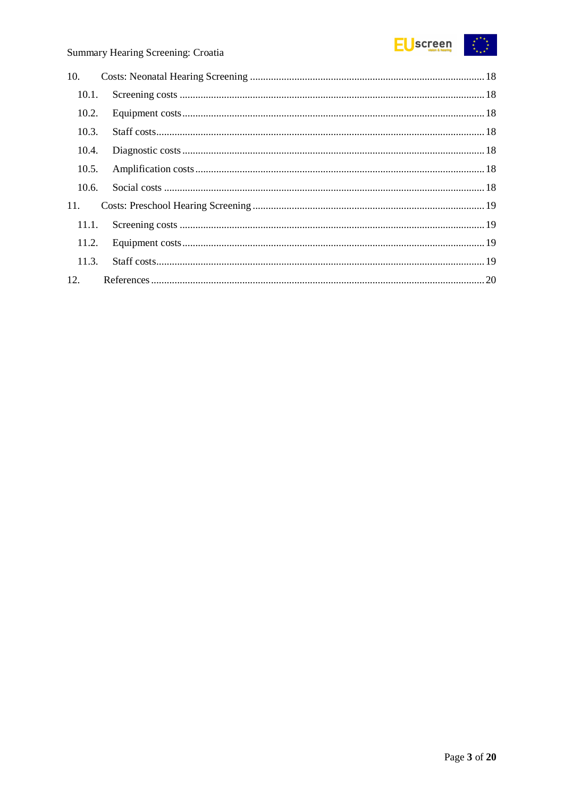

| 10.   |  |
|-------|--|
| 10.1. |  |
| 10.2. |  |
| 10.3. |  |
| 10.4. |  |
| 10.5. |  |
| 10.6. |  |
| 11.   |  |
| 11.1. |  |
| 11.2. |  |
| 11.3. |  |
|       |  |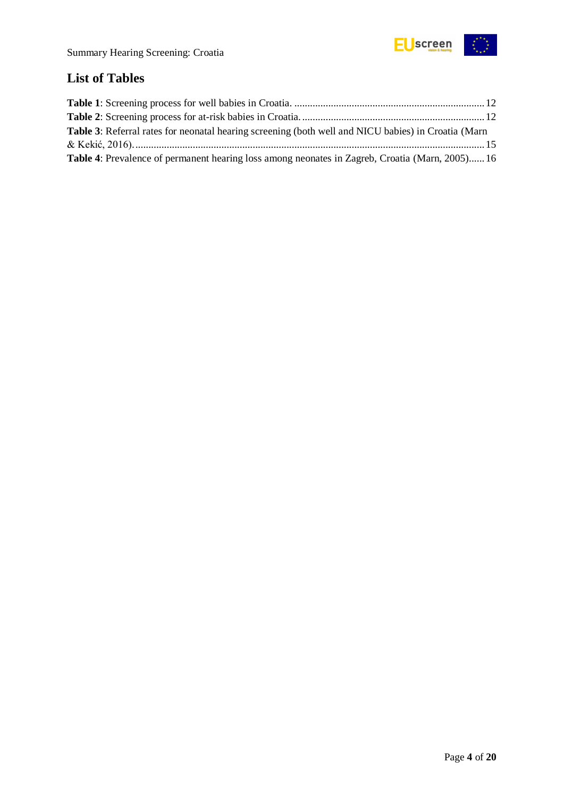

# <span id="page-3-0"></span>**List of Tables**

| Table 3: Referral rates for neonatal hearing screening (both well and NICU babies) in Croatia (Marn    |  |
|--------------------------------------------------------------------------------------------------------|--|
|                                                                                                        |  |
| <b>Table 4:</b> Prevalence of permanent hearing loss among neonates in Zagreb, Croatia (Marn, 2005) 16 |  |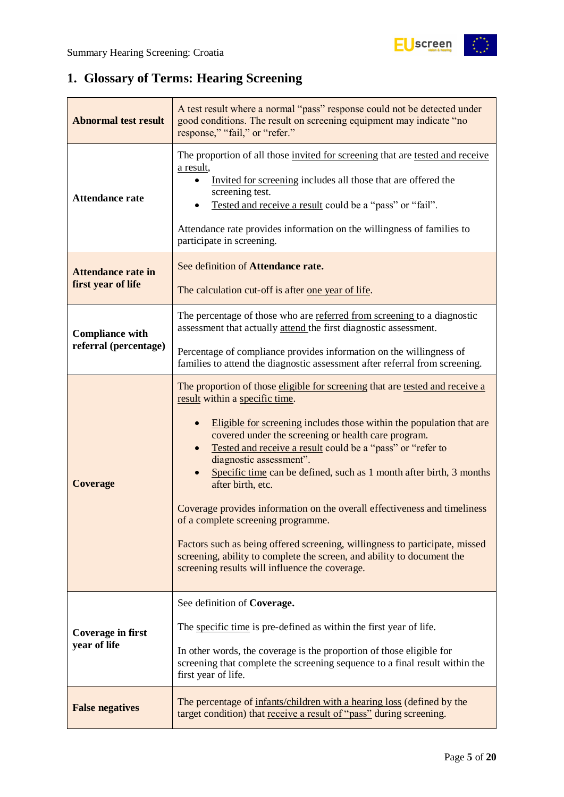# <span id="page-4-0"></span>**1. Glossary of Terms: Hearing Screening**

| <b>Abnormal test result</b>                     | A test result where a normal "pass" response could not be detected under<br>good conditions. The result on screening equipment may indicate "no<br>response," "fail," or "refer."                                                                                                                                                                                                                                                                                                                                                                                                                                                                                                                                                                                             |
|-------------------------------------------------|-------------------------------------------------------------------------------------------------------------------------------------------------------------------------------------------------------------------------------------------------------------------------------------------------------------------------------------------------------------------------------------------------------------------------------------------------------------------------------------------------------------------------------------------------------------------------------------------------------------------------------------------------------------------------------------------------------------------------------------------------------------------------------|
| <b>Attendance rate</b>                          | The proportion of all those invited for screening that are tested and receive<br>a result,<br>Invited for screening includes all those that are offered the<br>screening test.<br>Tested and receive a result could be a "pass" or "fail".<br>Attendance rate provides information on the willingness of families to<br>participate in screening.                                                                                                                                                                                                                                                                                                                                                                                                                             |
| <b>Attendance rate in</b><br>first year of life | See definition of Attendance rate.<br>The calculation cut-off is after <u>one year of life</u> .                                                                                                                                                                                                                                                                                                                                                                                                                                                                                                                                                                                                                                                                              |
| <b>Compliance with</b><br>referral (percentage) | The percentage of those who are referred from screening to a diagnostic<br>assessment that actually attend the first diagnostic assessment.<br>Percentage of compliance provides information on the willingness of<br>families to attend the diagnostic assessment after referral from screening.                                                                                                                                                                                                                                                                                                                                                                                                                                                                             |
| <b>Coverage</b>                                 | The proportion of those eligible for screening that are tested and receive a<br>result within a specific time.<br>Eligible for screening includes those within the population that are<br>$\bullet$<br>covered under the screening or health care program.<br>Tested and receive a result could be a "pass" or "refer to<br>diagnostic assessment".<br>Specific time can be defined, such as 1 month after birth, 3 months<br>after birth, etc.<br>Coverage provides information on the overall effectiveness and timeliness<br>of a complete screening programme.<br>Factors such as being offered screening, willingness to participate, missed<br>screening, ability to complete the screen, and ability to document the<br>screening results will influence the coverage. |
| <b>Coverage in first</b><br>year of life        | See definition of Coverage.<br>The specific time is pre-defined as within the first year of life.<br>In other words, the coverage is the proportion of those eligible for<br>screening that complete the screening sequence to a final result within the<br>first year of life.                                                                                                                                                                                                                                                                                                                                                                                                                                                                                               |
| <b>False negatives</b>                          | The percentage of infants/children with a hearing loss (defined by the<br>target condition) that receive a result of "pass" during screening.                                                                                                                                                                                                                                                                                                                                                                                                                                                                                                                                                                                                                                 |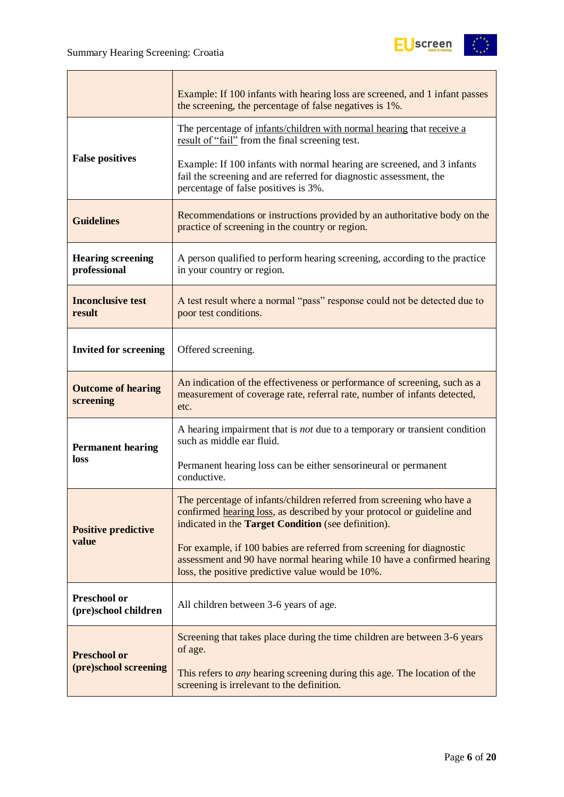

|                                             | Example: If 100 infants with hearing loss are screened, and 1 infant passes<br>the screening, the percentage of false negatives is 1%.                                                                 |  |  |
|---------------------------------------------|--------------------------------------------------------------------------------------------------------------------------------------------------------------------------------------------------------|--|--|
|                                             | The percentage of infants/children with normal hearing that receive a<br>result of "fail" from the final screening test.                                                                               |  |  |
| <b>False positives</b>                      | Example: If 100 infants with normal hearing are screened, and 3 infants<br>fail the screening and are referred for diagnostic assessment, the<br>percentage of false positives is 3%.                  |  |  |
| <b>Guidelines</b>                           | Recommendations or instructions provided by an authoritative body on the<br>practice of screening in the country or region.                                                                            |  |  |
| <b>Hearing screening</b><br>professional    | A person qualified to perform hearing screening, according to the practice<br>in your country or region.                                                                                               |  |  |
| <b>Inconclusive test</b><br>result          | A test result where a normal "pass" response could not be detected due to<br>poor test conditions.                                                                                                     |  |  |
| <b>Invited for screening</b>                | Offered screening.                                                                                                                                                                                     |  |  |
| <b>Outcome of hearing</b><br>screening      | An indication of the effectiveness or performance of screening, such as a<br>measurement of coverage rate, referral rate, number of infants detected,<br>etc.                                          |  |  |
| <b>Permanent hearing</b>                    | A hearing impairment that is <i>not</i> due to a temporary or transient condition<br>such as middle ear fluid.                                                                                         |  |  |
| loss                                        | Permanent hearing loss can be either sensorineural or permanent<br>conductive.                                                                                                                         |  |  |
| <b>Positive predictive</b>                  | The percentage of infants/children referred from screening who have a<br>confirmed hearing loss, as described by your protocol or guideline and<br>indicated in the Target Condition (see definition). |  |  |
| value                                       | For example, if 100 babies are referred from screening for diagnostic<br>assessment and 90 have normal hearing while 10 have a confirmed hearing<br>loss, the positive predictive value would be 10%.  |  |  |
| <b>Preschool or</b><br>(pre)school children | All children between 3-6 years of age.                                                                                                                                                                 |  |  |
| <b>Preschool or</b>                         | Screening that takes place during the time children are between 3-6 years<br>of age.                                                                                                                   |  |  |
| (pre)school screening                       | This refers to <i>any</i> hearing screening during this age. The location of the<br>screening is irrelevant to the definition.                                                                         |  |  |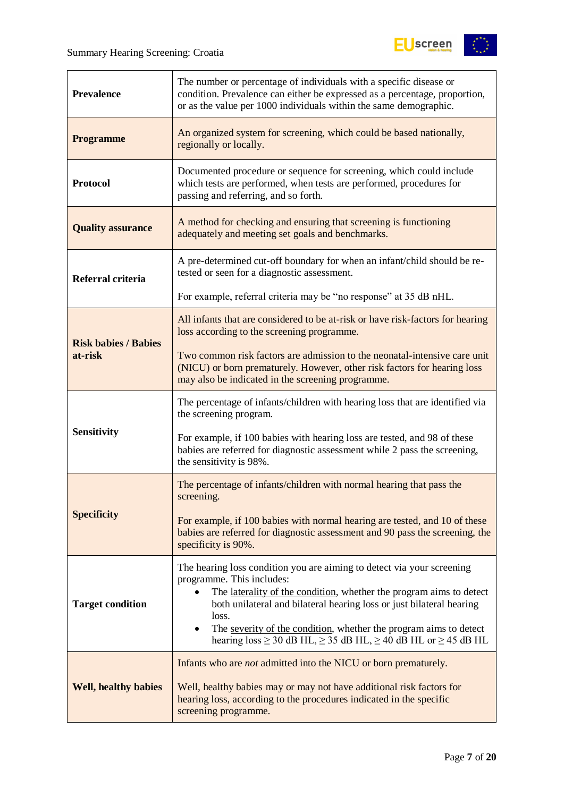

| <b>Prevalence</b>           | The number or percentage of individuals with a specific disease or<br>condition. Prevalence can either be expressed as a percentage, proportion,<br>or as the value per 1000 individuals within the same demographic.                                                                                                                                                                                             |  |  |
|-----------------------------|-------------------------------------------------------------------------------------------------------------------------------------------------------------------------------------------------------------------------------------------------------------------------------------------------------------------------------------------------------------------------------------------------------------------|--|--|
| <b>Programme</b>            | An organized system for screening, which could be based nationally,<br>regionally or locally.                                                                                                                                                                                                                                                                                                                     |  |  |
| <b>Protocol</b>             | Documented procedure or sequence for screening, which could include<br>which tests are performed, when tests are performed, procedures for<br>passing and referring, and so forth.                                                                                                                                                                                                                                |  |  |
| <b>Quality assurance</b>    | A method for checking and ensuring that screening is functioning<br>adequately and meeting set goals and benchmarks.                                                                                                                                                                                                                                                                                              |  |  |
| Referral criteria           | A pre-determined cut-off boundary for when an infant/child should be re-<br>tested or seen for a diagnostic assessment.                                                                                                                                                                                                                                                                                           |  |  |
|                             | For example, referral criteria may be "no response" at 35 dB nHL.                                                                                                                                                                                                                                                                                                                                                 |  |  |
| <b>Risk babies / Babies</b> | All infants that are considered to be at-risk or have risk-factors for hearing<br>loss according to the screening programme.                                                                                                                                                                                                                                                                                      |  |  |
| at-risk                     | Two common risk factors are admission to the neonatal-intensive care unit<br>(NICU) or born prematurely. However, other risk factors for hearing loss<br>may also be indicated in the screening programme.                                                                                                                                                                                                        |  |  |
|                             | The percentage of infants/children with hearing loss that are identified via<br>the screening program.                                                                                                                                                                                                                                                                                                            |  |  |
| <b>Sensitivity</b>          | For example, if 100 babies with hearing loss are tested, and 98 of these<br>babies are referred for diagnostic assessment while 2 pass the screening,<br>the sensitivity is 98%.                                                                                                                                                                                                                                  |  |  |
|                             | The percentage of infants/children with normal hearing that pass the<br>screening.                                                                                                                                                                                                                                                                                                                                |  |  |
| <b>Specificity</b>          | For example, if 100 babies with normal hearing are tested, and 10 of these<br>babies are referred for diagnostic assessment and 90 pass the screening, the<br>specificity is 90%.                                                                                                                                                                                                                                 |  |  |
| <b>Target condition</b>     | The hearing loss condition you are aiming to detect via your screening<br>programme. This includes:<br>The laterality of the condition, whether the program aims to detect<br>both unilateral and bilateral hearing loss or just bilateral hearing<br>loss.<br>The severity of the condition, whether the program aims to detect<br>hearing $loss \ge 30$ dB HL, $\ge 35$ dB HL, $\ge 40$ dB HL or $\ge 45$ dB HL |  |  |
| <b>Well, healthy babies</b> | Infants who are <i>not</i> admitted into the NICU or born prematurely.<br>Well, healthy babies may or may not have additional risk factors for<br>hearing loss, according to the procedures indicated in the specific<br>screening programme.                                                                                                                                                                     |  |  |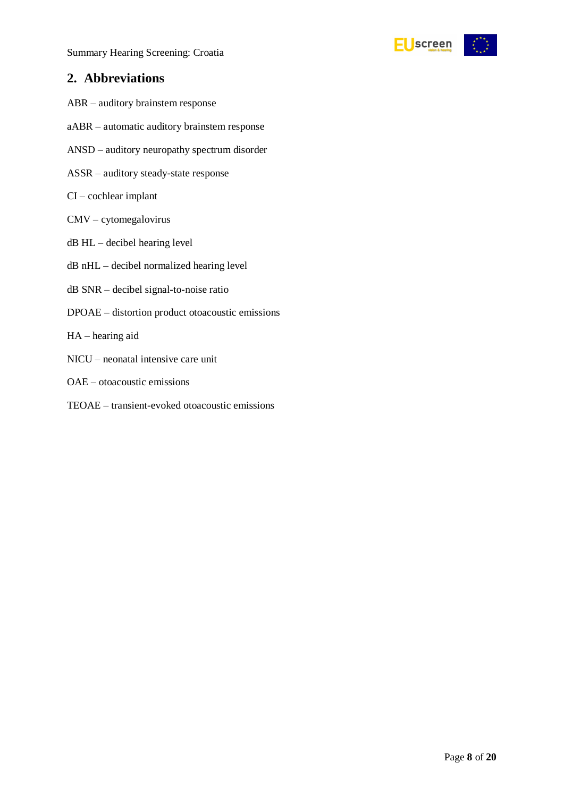

### <span id="page-7-0"></span>**2. Abbreviations**

- ABR auditory brainstem response
- aABR automatic auditory brainstem response
- ANSD auditory neuropathy spectrum disorder
- ASSR auditory steady-state response
- CI cochlear implant
- CMV cytomegalovirus
- dB HL decibel hearing level
- dB nHL decibel normalized hearing level
- dB SNR decibel signal-to-noise ratio
- DPOAE distortion product otoacoustic emissions
- HA hearing aid
- NICU neonatal intensive care unit
- OAE otoacoustic emissions
- TEOAE transient-evoked otoacoustic emissions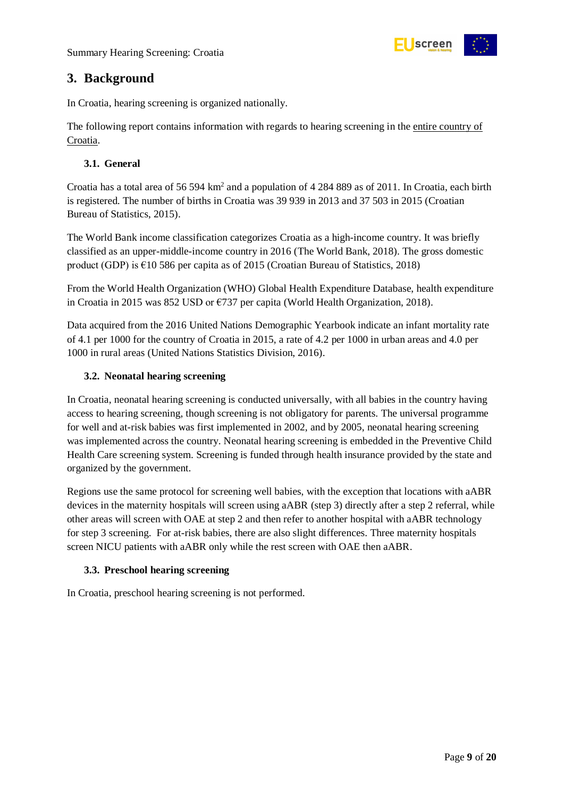

# <span id="page-8-0"></span>**3. Background**

In Croatia, hearing screening is organized nationally.

The following report contains information with regards to hearing screening in the entire country of Croatia.

#### <span id="page-8-1"></span>**3.1. General**

Croatia has a total area of 56 594 km<sup>2</sup> and a population of 4 284 889 as of 2011. In Croatia, each birth is registered. The number of births in Croatia was 39 939 in 2013 and 37 503 in 2015 (Croatian Bureau of Statistics, 2015).

The World Bank income classification categorizes Croatia as a high-income country. It was briefly classified as an upper-middle-income country in 2016 (The World Bank, 2018). The gross domestic product (GDP) is  $\epsilon$ 10 586 per capita as of 2015 (Croatian Bureau of Statistics, 2018)

From the World Health Organization (WHO) Global Health Expenditure Database, health expenditure in Croatia in 2015 was 852 USD or €737 per capita (World Health Organization, 2018).

Data acquired from the 2016 United Nations Demographic Yearbook indicate an infant mortality rate of 4.1 per 1000 for the country of Croatia in 2015, a rate of 4.2 per 1000 in urban areas and 4.0 per 1000 in rural areas (United Nations Statistics Division, 2016).

#### <span id="page-8-2"></span>**3.2. Neonatal hearing screening**

In Croatia, neonatal hearing screening is conducted universally, with all babies in the country having access to hearing screening, though screening is not obligatory for parents. The universal programme for well and at-risk babies was first implemented in 2002, and by 2005, neonatal hearing screening was implemented across the country. Neonatal hearing screening is embedded in the Preventive Child Health Care screening system. Screening is funded through health insurance provided by the state and organized by the government.

Regions use the same protocol for screening well babies, with the exception that locations with aABR devices in the maternity hospitals will screen using aABR (step 3) directly after a step 2 referral, while other areas will screen with OAE at step 2 and then refer to another hospital with aABR technology for step 3 screening. For at-risk babies, there are also slight differences. Three maternity hospitals screen NICU patients with aABR only while the rest screen with OAE then aABR.

#### <span id="page-8-3"></span>**3.3. Preschool hearing screening**

In Croatia, preschool hearing screening is not performed.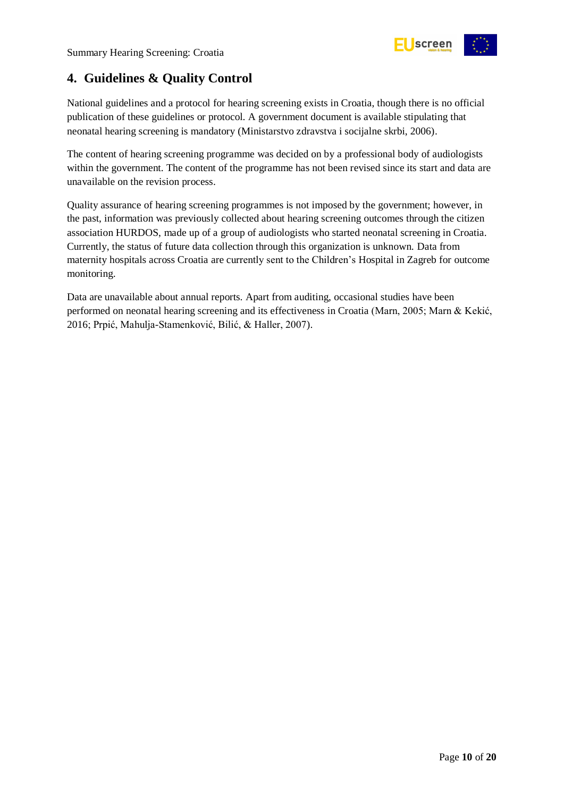

# <span id="page-9-0"></span>**4. Guidelines & Quality Control**

National guidelines and a protocol for hearing screening exists in Croatia, though there is no official publication of these guidelines or protocol. A government document is available stipulating that neonatal hearing screening is mandatory (Ministarstvo zdravstva i socijalne skrbi, 2006).

The content of hearing screening programme was decided on by a professional body of audiologists within the government. The content of the programme has not been revised since its start and data are unavailable on the revision process.

Quality assurance of hearing screening programmes is not imposed by the government; however, in the past, information was previously collected about hearing screening outcomes through the citizen association HURDOS, made up of a group of audiologists who started neonatal screening in Croatia. Currently, the status of future data collection through this organization is unknown. Data from maternity hospitals across Croatia are currently sent to the Children's Hospital in Zagreb for outcome monitoring.

Data are unavailable about annual reports. Apart from auditing, occasional studies have been performed on neonatal hearing screening and its effectiveness in Croatia (Marn, 2005; Marn & Kekić, 2016; Prpić, Mahulja-Stamenković, Bilić, & Haller, 2007).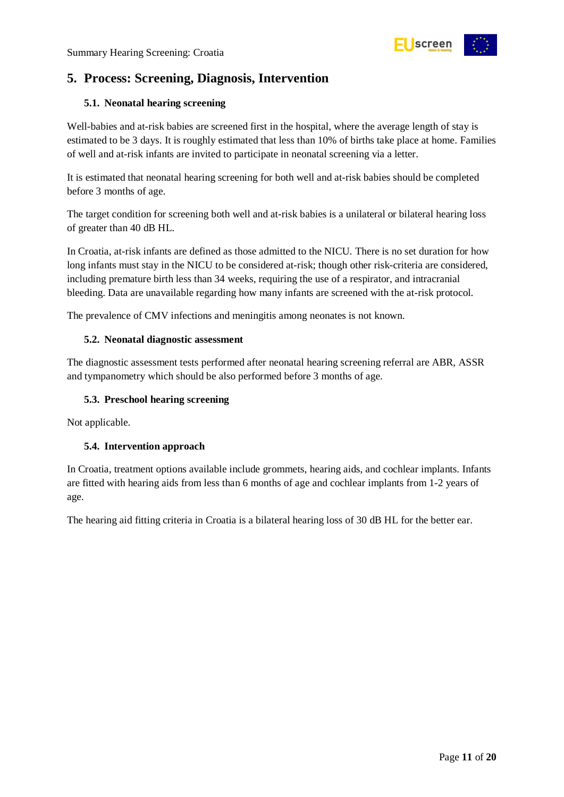

# <span id="page-10-0"></span>**5. Process: Screening, Diagnosis, Intervention**

#### <span id="page-10-1"></span>**5.1. Neonatal hearing screening**

Well-babies and at-risk babies are screened first in the hospital, where the average length of stay is estimated to be 3 days. It is roughly estimated that less than 10% of births take place at home. Families of well and at-risk infants are invited to participate in neonatal screening via a letter.

It is estimated that neonatal hearing screening for both well and at-risk babies should be completed before 3 months of age.

The target condition for screening both well and at-risk babies is a unilateral or bilateral hearing loss of greater than 40 dB HL.

In Croatia, at-risk infants are defined as those admitted to the NICU. There is no set duration for how long infants must stay in the NICU to be considered at-risk; though other risk-criteria are considered, including premature birth less than 34 weeks, requiring the use of a respirator, and intracranial bleeding. Data are unavailable regarding how many infants are screened with the at-risk protocol.

The prevalence of CMV infections and meningitis among neonates is not known.

#### <span id="page-10-2"></span>**5.2. Neonatal diagnostic assessment**

The diagnostic assessment tests performed after neonatal hearing screening referral are ABR, ASSR and tympanometry which should be also performed before 3 months of age.

#### <span id="page-10-3"></span>**5.3. Preschool hearing screening**

Not applicable.

#### <span id="page-10-4"></span>**5.4. Intervention approach**

In Croatia, treatment options available include grommets, hearing aids, and cochlear implants. Infants are fitted with hearing aids from less than 6 months of age and cochlear implants from 1-2 years of age.

The hearing aid fitting criteria in Croatia is a bilateral hearing loss of 30 dB HL for the better ear.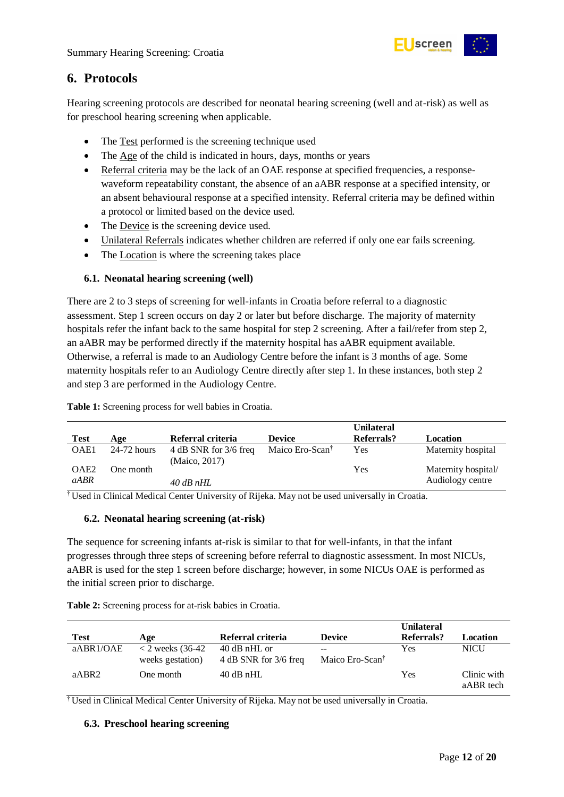

## <span id="page-11-0"></span>**6. Protocols**

Hearing screening protocols are described for neonatal hearing screening (well and at-risk) as well as for preschool hearing screening when applicable.

- The Test performed is the screening technique used
- The Age of the child is indicated in hours, days, months or years
- Referral criteria may be the lack of an OAE response at specified frequencies, a responsewaveform repeatability constant, the absence of an aABR response at a specified intensity, or an absent behavioural response at a specified intensity. Referral criteria may be defined within a protocol or limited based on the device used.
- The Device is the screening device used.
- Unilateral Referrals indicates whether children are referred if only one ear fails screening.
- The Location is where the screening takes place

#### <span id="page-11-1"></span>**6.1. Neonatal hearing screening (well)**

There are 2 to 3 steps of screening for well-infants in Croatia before referral to a diagnostic assessment. Step 1 screen occurs on day 2 or later but before discharge. The majority of maternity hospitals refer the infant back to the same hospital for step 2 screening. After a fail/refer from step 2, an aABR may be performed directly if the maternity hospital has aABR equipment available. Otherwise, a referral is made to an Audiology Centre before the infant is 3 months of age. Some maternity hospitals refer to an Audiology Centre directly after step 1. In these instances, both step 2 and step 3 are performed in the Audiology Centre.

<span id="page-11-4"></span>**Table 1:** Screening process for well babies in Croatia.

|                  |               |                                        |                             | <b>Unilateral</b> |                     |
|------------------|---------------|----------------------------------------|-----------------------------|-------------------|---------------------|
| <b>Test</b>      | Age           | Referral criteria                      | <b>Device</b>               | Referrals?        | Location            |
| OAE1             | $24-72$ hours | 4 dB SNR for 3/6 freq<br>(Maico, 2017) | Maico Ero-Scan <sup>†</sup> | Yes               | Maternity hospital  |
| OAE <sub>2</sub> | One month     |                                        |                             | Yes               | Maternity hospital/ |
| <i>aABR</i>      |               | $40$ dB nHL                            |                             |                   | Audiology centre    |

† Used in Clinical Medical Center University of Rijeka. May not be used universally in Croatia.

#### <span id="page-11-2"></span>**6.2. Neonatal hearing screening (at-risk)**

The sequence for screening infants at-risk is similar to that for well-infants, in that the infant progresses through three steps of screening before referral to diagnostic assessment. In most NICUs, aABR is used for the step 1 screen before discharge; however, in some NICUs OAE is performed as the initial screen prior to discharge.

|             |                                               |                                         |                                    | <b>Unilateral</b> |                          |
|-------------|-----------------------------------------------|-----------------------------------------|------------------------------------|-------------------|--------------------------|
| <b>Test</b> | Age                                           | Referral criteria                       | <b>Device</b>                      | Referrals?        | Location                 |
| aABR1/OAE   | $\langle$ 2 weeks (36-42)<br>weeks gestation) | $40$ dB nHL or<br>4 dB SNR for 3/6 freq | $-$<br>Maico Ero-Scan <sup>†</sup> | Yes               | <b>NICU</b>              |
| aABR2       | One month                                     | $40$ dB nHL                             |                                    | Yes               | Clinic with<br>aABR tech |

<span id="page-11-5"></span>**Table 2:** Screening process for at-risk babies in Croatia.

<sup>†</sup> Used in Clinical Medical Center University of Rijeka. May not be used universally in Croatia.

#### <span id="page-11-3"></span>**6.3. Preschool hearing screening**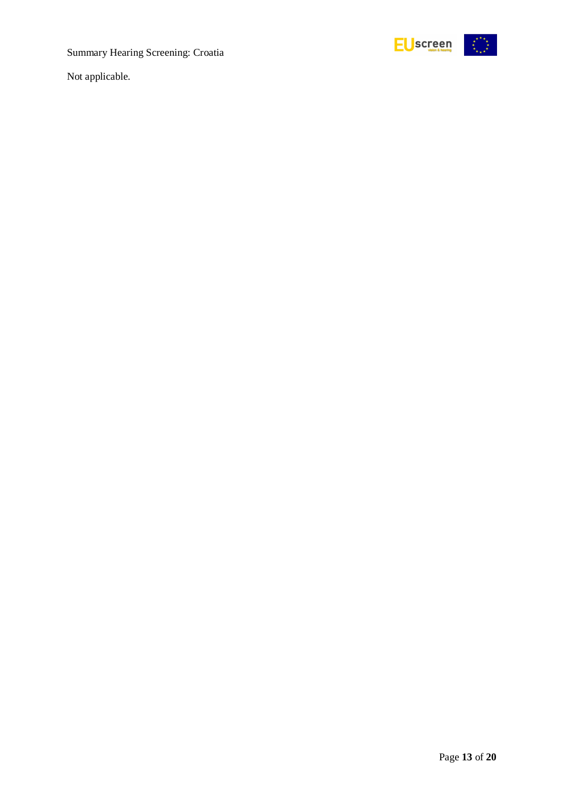

Not applicable.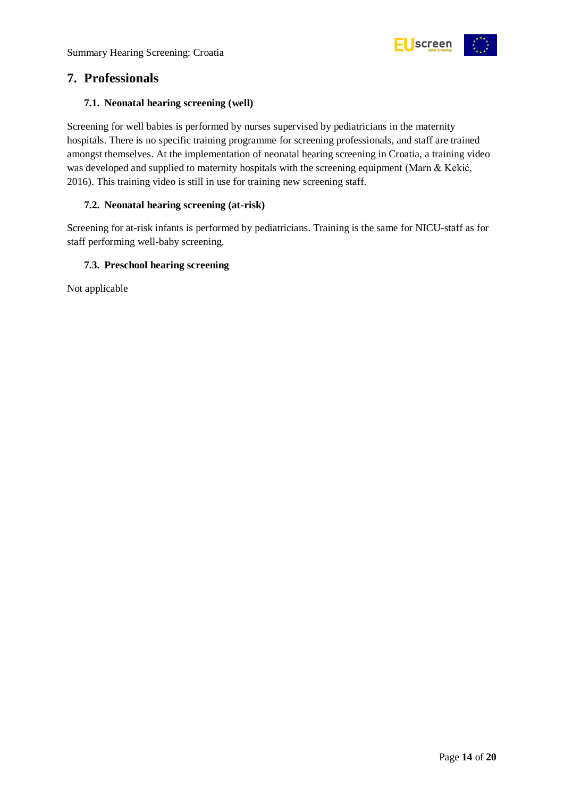

### <span id="page-13-0"></span>**7. Professionals**

#### <span id="page-13-1"></span>**7.1. Neonatal hearing screening (well)**

Screening for well babies is performed by nurses supervised by pediatricians in the maternity hospitals. There is no specific training programme for screening professionals, and staff are trained amongst themselves. At the implementation of neonatal hearing screening in Croatia, a training video was developed and supplied to maternity hospitals with the screening equipment (Marn & Kekić, 2016). This training video is still in use for training new screening staff.

#### <span id="page-13-2"></span>**7.2. Neonatal hearing screening (at-risk)**

Screening for at-risk infants is performed by pediatricians. Training is the same for NICU-staff as for staff performing well-baby screening.

#### <span id="page-13-3"></span>**7.3. Preschool hearing screening**

Not applicable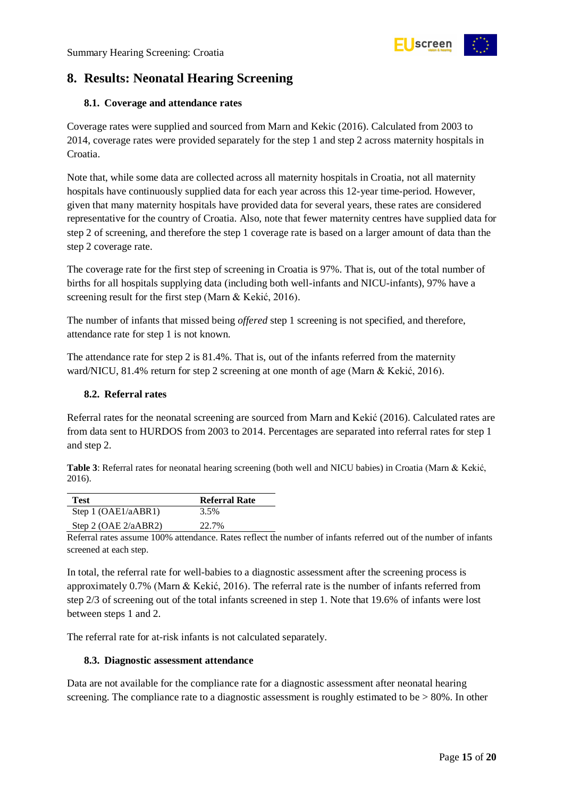

## <span id="page-14-0"></span>**8. Results: Neonatal Hearing Screening**

#### <span id="page-14-1"></span>**8.1. Coverage and attendance rates**

Coverage rates were supplied and sourced from Marn and Kekic (2016). Calculated from 2003 to 2014, coverage rates were provided separately for the step 1 and step 2 across maternity hospitals in Croatia.

Note that, while some data are collected across all maternity hospitals in Croatia, not all maternity hospitals have continuously supplied data for each year across this 12-year time-period. However, given that many maternity hospitals have provided data for several years, these rates are considered representative for the country of Croatia. Also, note that fewer maternity centres have supplied data for step 2 of screening, and therefore the step 1 coverage rate is based on a larger amount of data than the step 2 coverage rate.

The coverage rate for the first step of screening in Croatia is 97%. That is, out of the total number of births for all hospitals supplying data (including both well-infants and NICU-infants), 97% have a screening result for the first step (Marn & Kekić, 2016).

The number of infants that missed being *offered* step 1 screening is not specified, and therefore, attendance rate for step 1 is not known.

The attendance rate for step 2 is 81.4%. That is, out of the infants referred from the maternity ward/NICU, 81.4% return for step 2 screening at one month of age (Marn & Kekić, 2016).

#### <span id="page-14-2"></span>**8.2. Referral rates**

Referral rates for the neonatal screening are sourced from Marn and Kekić (2016). Calculated rates are from data sent to HURDOS from 2003 to 2014. Percentages are separated into referral rates for step 1 and step 2.

<span id="page-14-4"></span>**Table 3**: Referral rates for neonatal hearing screening (both well and NICU babies) in Croatia (Marn & Kekić, 2016).

| Test                    | <b>Referral Rate</b> |
|-------------------------|----------------------|
| Step 1 $(OAE1/aABR1)$   | 3.5%                 |
| Step 2 (OAE $2/aABR2$ ) | 22.7%                |

Referral rates assume 100% attendance. Rates reflect the number of infants referred out of the number of infants screened at each step.

In total, the referral rate for well-babies to a diagnostic assessment after the screening process is approximately 0.7% (Marn & Kekić, 2016). The referral rate is the number of infants referred from step 2/3 of screening out of the total infants screened in step 1. Note that 19.6% of infants were lost between steps 1 and 2.

The referral rate for at-risk infants is not calculated separately.

#### <span id="page-14-3"></span>**8.3. Diagnostic assessment attendance**

Data are not available for the compliance rate for a diagnostic assessment after neonatal hearing screening. The compliance rate to a diagnostic assessment is roughly estimated to be  $> 80\%$ . In other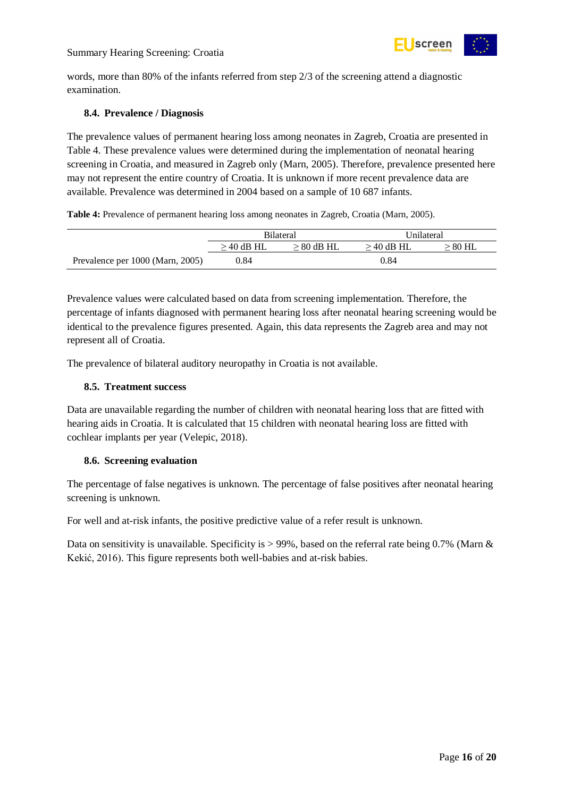

words, more than 80% of the infants referred from step 2/3 of the screening attend a diagnostic examination.

#### <span id="page-15-0"></span>**8.4. Prevalence / Diagnosis**

The prevalence values of permanent hearing loss among neonates in Zagreb, Croatia are presented in [Table 4.](#page-15-3) These prevalence values were determined during the implementation of neonatal hearing screening in Croatia, and measured in Zagreb only (Marn, 2005). Therefore, prevalence presented here may not represent the entire country of Croatia. It is unknown if more recent prevalence data are available. Prevalence was determined in 2004 based on a sample of 10 687 infants.

<span id="page-15-3"></span>**Table 4:** Prevalence of permanent hearing loss among neonates in Zagreb, Croatia (Marn, 2005).

|                                  | <b>Bilateral</b> |              | Unilateral   |           |
|----------------------------------|------------------|--------------|--------------|-----------|
|                                  | $>$ 40 dB HL     | $> 80$ dB HL | $>$ 40 dB HL | $> 80$ HL |
| Prevalence per 1000 (Marn, 2005) | 0.84             |              | 0.84         |           |

Prevalence values were calculated based on data from screening implementation. Therefore, the percentage of infants diagnosed with permanent hearing loss after neonatal hearing screening would be identical to the prevalence figures presented. Again, this data represents the Zagreb area and may not represent all of Croatia.

The prevalence of bilateral auditory neuropathy in Croatia is not available.

#### <span id="page-15-1"></span>**8.5. Treatment success**

Data are unavailable regarding the number of children with neonatal hearing loss that are fitted with hearing aids in Croatia. It is calculated that 15 children with neonatal hearing loss are fitted with cochlear implants per year (Velepic, 2018).

#### <span id="page-15-2"></span>**8.6. Screening evaluation**

The percentage of false negatives is unknown. The percentage of false positives after neonatal hearing screening is unknown.

For well and at-risk infants, the positive predictive value of a refer result is unknown.

Data on sensitivity is unavailable. Specificity is  $> 99\%$ , based on the referral rate being 0.7% (Marn & Kekić, 2016). This figure represents both well-babies and at-risk babies.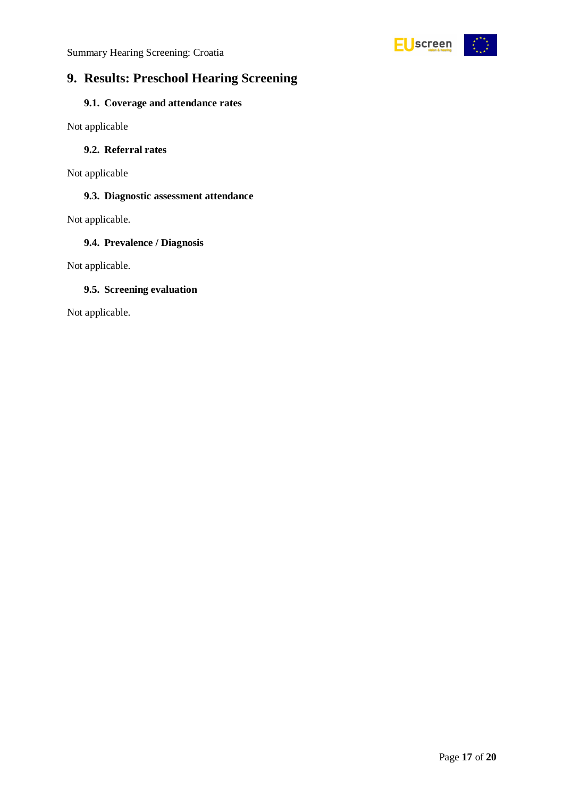

# <span id="page-16-0"></span>**9. Results: Preschool Hearing Screening**

#### <span id="page-16-1"></span>**9.1. Coverage and attendance rates**

Not applicable

#### <span id="page-16-2"></span>**9.2. Referral rates**

Not applicable

#### <span id="page-16-3"></span>**9.3. Diagnostic assessment attendance**

Not applicable.

#### <span id="page-16-4"></span>**9.4. Prevalence / Diagnosis**

Not applicable.

#### <span id="page-16-5"></span>**9.5. Screening evaluation**

Not applicable.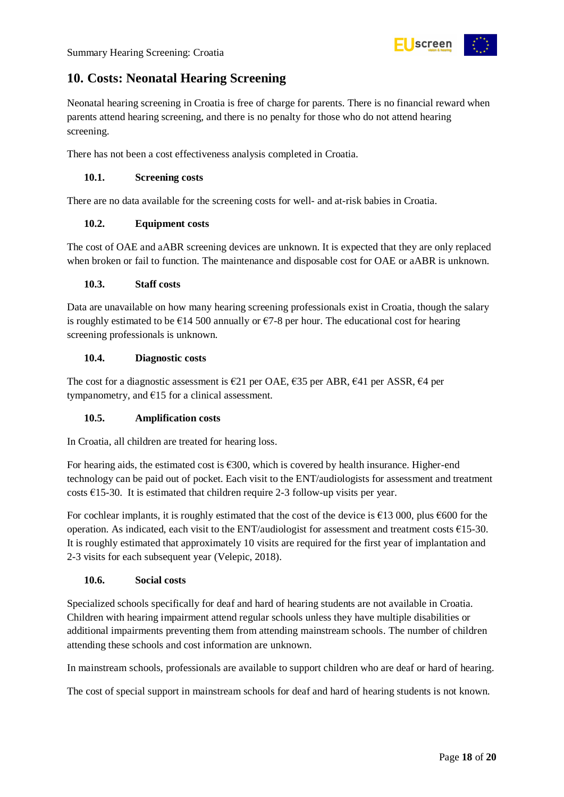

## <span id="page-17-0"></span>**10. Costs: Neonatal Hearing Screening**

Neonatal hearing screening in Croatia is free of charge for parents. There is no financial reward when parents attend hearing screening, and there is no penalty for those who do not attend hearing screening.

There has not been a cost effectiveness analysis completed in Croatia.

#### <span id="page-17-1"></span>**10.1. Screening costs**

There are no data available for the screening costs for well- and at-risk babies in Croatia.

#### <span id="page-17-2"></span>**10.2. Equipment costs**

The cost of OAE and aABR screening devices are unknown. It is expected that they are only replaced when broken or fail to function. The maintenance and disposable cost for OAE or aABR is unknown.

#### <span id="page-17-3"></span>**10.3. Staff costs**

Data are unavailable on how many hearing screening professionals exist in Croatia, though the salary is roughly estimated to be  $\epsilon$ 14 500 annually or  $\epsilon$ 7-8 per hour. The educational cost for hearing screening professionals is unknown.

#### <span id="page-17-4"></span>**10.4. Diagnostic costs**

The cost for a diagnostic assessment is  $\epsilon$ 21 per OAE,  $\epsilon$ 35 per ABR,  $\epsilon$ 41 per ASSR,  $\epsilon$ 4 per tympanometry, and  $E15$  for a clinical assessment.

#### <span id="page-17-5"></span>**10.5. Amplification costs**

In Croatia, all children are treated for hearing loss.

For hearing aids, the estimated cost is  $\epsilon$ 300, which is covered by health insurance. Higher-end technology can be paid out of pocket. Each visit to the ENT/audiologists for assessment and treatment costs  $£15-30$ . It is estimated that children require 2-3 follow-up visits per year.

For cochlear implants, it is roughly estimated that the cost of the device is €13 000, plus €600 for the operation. As indicated, each visit to the ENT/audiologist for assessment and treatment costs  $\epsilon$ 15-30. It is roughly estimated that approximately 10 visits are required for the first year of implantation and 2-3 visits for each subsequent year (Velepic, 2018).

#### <span id="page-17-6"></span>**10.6. Social costs**

Specialized schools specifically for deaf and hard of hearing students are not available in Croatia. Children with hearing impairment attend regular schools unless they have multiple disabilities or additional impairments preventing them from attending mainstream schools. The number of children attending these schools and cost information are unknown.

In mainstream schools, professionals are available to support children who are deaf or hard of hearing.

The cost of special support in mainstream schools for deaf and hard of hearing students is not known.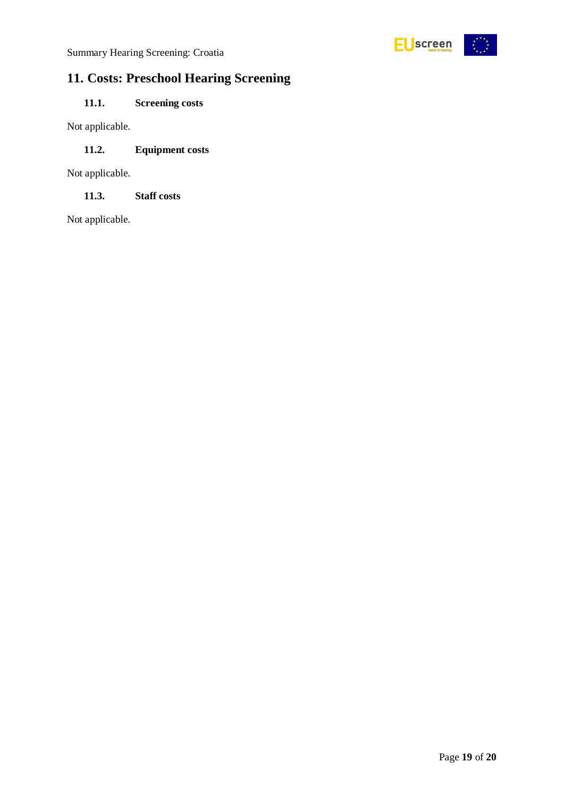

# <span id="page-18-0"></span>**11. Costs: Preschool Hearing Screening**

### <span id="page-18-1"></span>**11.1. Screening costs**

Not applicable.

#### <span id="page-18-2"></span>**11.2. Equipment costs**

Not applicable.

<span id="page-18-3"></span>**11.3. Staff costs**

Not applicable.